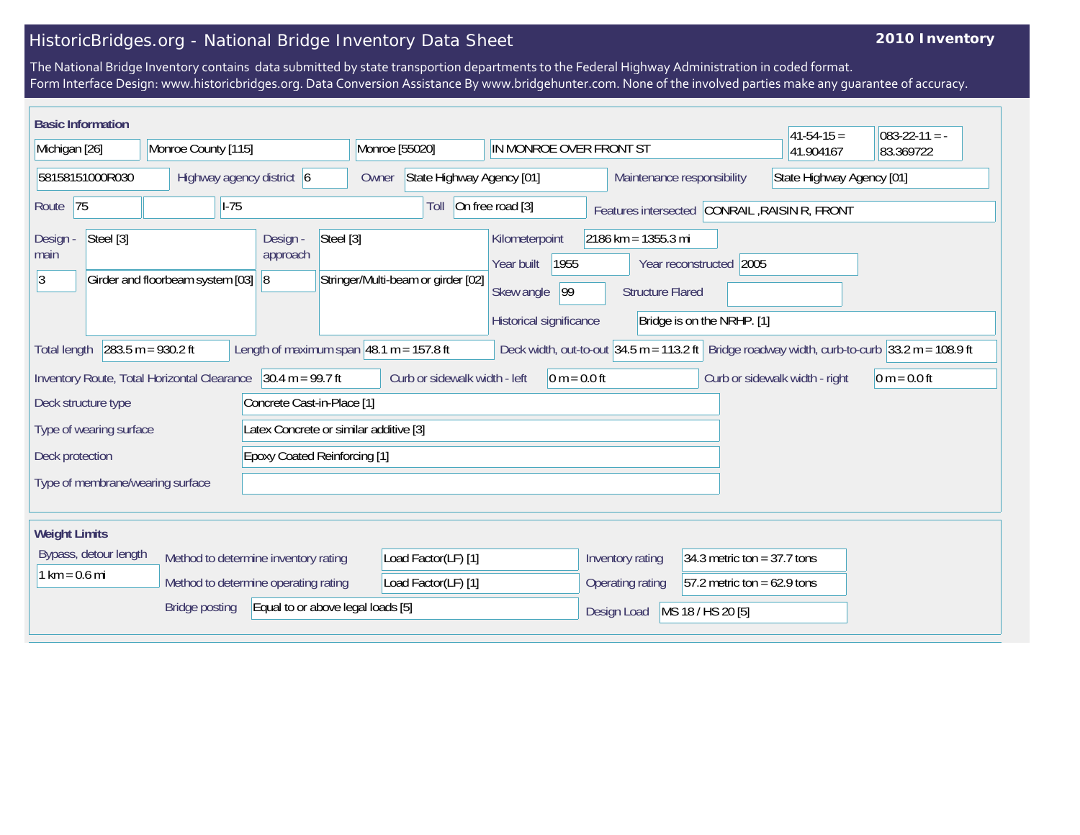## HistoricBridges.org - National Bridge Inventory Data Sheet

## **2010 Inventory**

The National Bridge Inventory contains data submitted by state transportion departments to the Federal Highway Administration in coded format. Form Interface Design: www.historicbridges.org. Data Conversion Assistance By www.bridgehunter.com. None of the involved parties make any guarantee of accuracy.

| <b>Basic Information</b>                                                                                                                                                                                    |                                  |                                                                  |                                    |                                                                                     |                                                  |                                                       | $ 41-54-15 =$ | $083 - 22 - 11 = -$ |  |
|-------------------------------------------------------------------------------------------------------------------------------------------------------------------------------------------------------------|----------------------------------|------------------------------------------------------------------|------------------------------------|-------------------------------------------------------------------------------------|--------------------------------------------------|-------------------------------------------------------|---------------|---------------------|--|
| Michigan [26]                                                                                                                                                                                               | Monroe County [115]              |                                                                  | Monroe [55020]                     | IN MONROE OVER FRONT ST                                                             |                                                  |                                                       | 41.904167     | 83.369722           |  |
| 58158151000R030<br>Highway agency district 6                                                                                                                                                                |                                  | State Highway Agency [01]<br>Maintenance responsibility<br>Owner |                                    | State Highway Agency [01]                                                           |                                                  |                                                       |               |                     |  |
| 75<br>Route                                                                                                                                                                                                 | $ I-75 $                         |                                                                  | Toll                               | On free road [3]                                                                    |                                                  | Features intersected CONRAIL, RAISIN R, FRONT         |               |                     |  |
| Steel [3]<br>Design -<br>main<br>3                                                                                                                                                                          | Girder and floorbeam system [03] | Steel [3]<br>Design -<br>approach<br> 8                          | Stringer/Multi-beam or girder [02] | Kilometerpoint<br>1955<br>Year built<br>99<br>Skew angle<br>Historical significance | $2186$ km = 1355.3 mi<br><b>Structure Flared</b> | Year reconstructed 2005<br>Bridge is on the NRHP. [1] |               |                     |  |
| $283.5 m = 930.2 ft$<br>Length of maximum span $ 48.1 \text{ m} = 157.8 \text{ ft}$<br>Deck width, out-to-out 34.5 m = 113.2 ft Bridge roadway width, curb-to-curb 33.2 m = 108.9 ft<br><b>Total length</b> |                                  |                                                                  |                                    |                                                                                     |                                                  |                                                       |               |                     |  |
| $30.4 m = 99.7 ft$<br>Curb or sidewalk width - left<br>Inventory Route, Total Horizontal Clearance<br>$0 m = 0.0 ft$<br>Curb or sidewalk width - right<br>$0 m = 0.0 ft$                                    |                                  |                                                                  |                                    |                                                                                     |                                                  |                                                       |               |                     |  |
| Concrete Cast-in-Place [1]<br>Deck structure type                                                                                                                                                           |                                  |                                                                  |                                    |                                                                                     |                                                  |                                                       |               |                     |  |
| Latex Concrete or similar additive [3]<br>Type of wearing surface                                                                                                                                           |                                  |                                                                  |                                    |                                                                                     |                                                  |                                                       |               |                     |  |
| <b>Epoxy Coated Reinforcing [1]</b><br>Deck protection                                                                                                                                                      |                                  |                                                                  |                                    |                                                                                     |                                                  |                                                       |               |                     |  |
| Type of membrane/wearing surface                                                                                                                                                                            |                                  |                                                                  |                                    |                                                                                     |                                                  |                                                       |               |                     |  |
| <b>Weight Limits</b>                                                                                                                                                                                        |                                  |                                                                  |                                    |                                                                                     |                                                  |                                                       |               |                     |  |
| Bypass, detour length<br>Method to determine inventory rating<br>$1 km = 0.6 mi$<br>Method to determine operating rating                                                                                    |                                  |                                                                  | Load Factor(LF) [1]                |                                                                                     | Inventory rating                                 | 34.3 metric ton = $37.7$ tons                         |               |                     |  |
|                                                                                                                                                                                                             |                                  |                                                                  | Load Factor(LF) [1]                |                                                                                     | Operating rating                                 | $57.2$ metric ton = 62.9 tons                         |               |                     |  |
| Equal to or above legal loads [5]<br><b>Bridge posting</b>                                                                                                                                                  |                                  |                                                                  |                                    |                                                                                     | Design Load                                      | MS 18 / HS 20 [5]                                     |               |                     |  |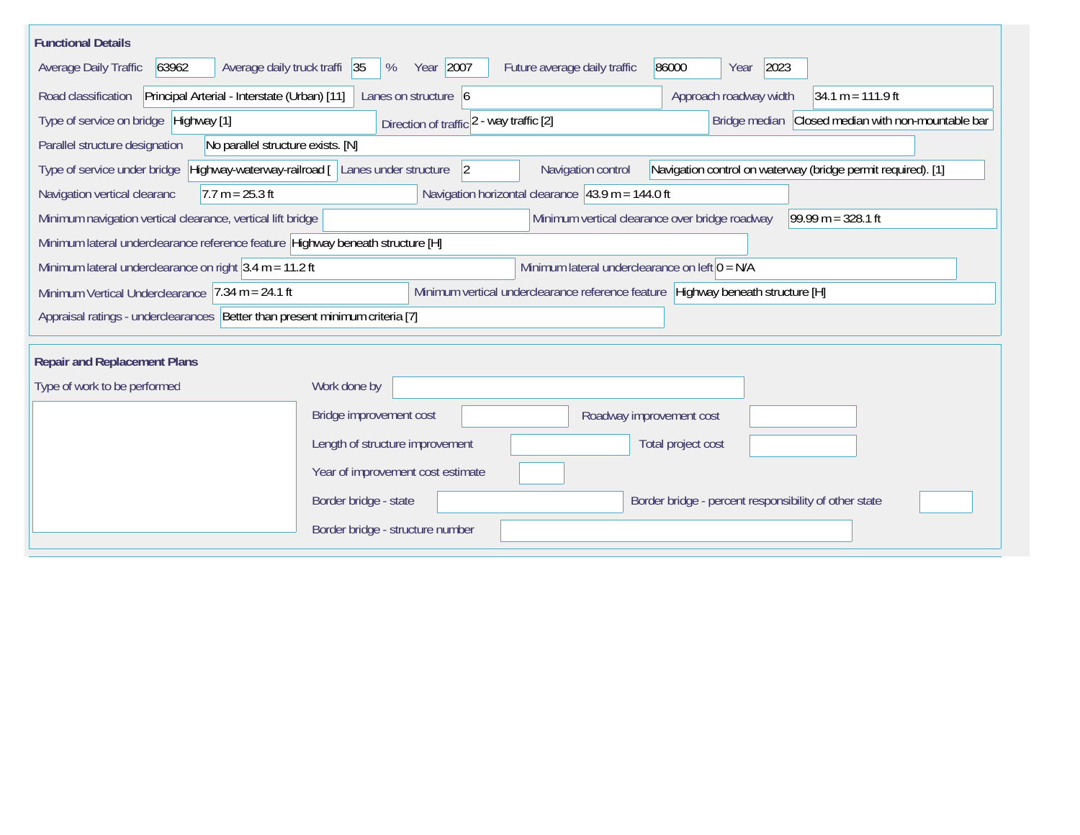| <b>Functional Details</b>                                                                                                                                                      |                                                                                     |  |  |  |  |  |  |  |  |
|--------------------------------------------------------------------------------------------------------------------------------------------------------------------------------|-------------------------------------------------------------------------------------|--|--|--|--|--|--|--|--|
| 63962<br>Average daily truck traffi 35<br>Average Daily Traffic                                                                                                                | Year 2007<br>2023<br>Future average daily traffic<br>86000<br>%<br>Year             |  |  |  |  |  |  |  |  |
| Road classification<br>Principal Arterial - Interstate (Urban) [11]                                                                                                            | Approach roadway width<br>Lanes on structure $\vert 6 \vert$<br>$34.1 m = 111.9 ft$ |  |  |  |  |  |  |  |  |
| Type of service on bridge Highway [1]<br>Bridge median Closed median with non-mountable bar<br>Direction of traffic 2 - way traffic [2]                                        |                                                                                     |  |  |  |  |  |  |  |  |
| Parallel structure designation<br>No parallel structure exists. [N]                                                                                                            |                                                                                     |  |  |  |  |  |  |  |  |
| Highway-waterway-railroad [ Lanes under structure<br>Navigation control on waterway (bridge permit required). [1]<br>Type of service under bridge<br> 2 <br>Navigation control |                                                                                     |  |  |  |  |  |  |  |  |
| $7.7 m = 25.3 ft$<br>Navigation vertical clearanc                                                                                                                              | Navigation horizontal clearance $ 43.9 \text{ m} = 144.0 \text{ ft}$                |  |  |  |  |  |  |  |  |
| Minimum navigation vertical clearance, vertical lift bridge                                                                                                                    | Minimum vertical clearance over bridge roadway<br>$99.99 m = 328.1 ft$              |  |  |  |  |  |  |  |  |
| Minimum lateral underclearance reference feature Highway beneath structure [H]                                                                                                 |                                                                                     |  |  |  |  |  |  |  |  |
| Minimum lateral underclearance on right $3.4$ m = 11.2 ft<br>Minimum lateral underclearance on left $0 = N/A$                                                                  |                                                                                     |  |  |  |  |  |  |  |  |
| Minimum vertical underclearance reference feature Highway beneath structure [H]<br>Minimum Vertical Underclearance $ 7.34 \text{ m} = 24.1 \text{ ft}$                         |                                                                                     |  |  |  |  |  |  |  |  |
| Appraisal ratings - underclearances Better than present minimum criteria [7]                                                                                                   |                                                                                     |  |  |  |  |  |  |  |  |
|                                                                                                                                                                                |                                                                                     |  |  |  |  |  |  |  |  |
| <b>Repair and Replacement Plans</b>                                                                                                                                            |                                                                                     |  |  |  |  |  |  |  |  |
| Type of work to be performed                                                                                                                                                   | Work done by                                                                        |  |  |  |  |  |  |  |  |
|                                                                                                                                                                                | Bridge improvement cost<br>Roadway improvement cost                                 |  |  |  |  |  |  |  |  |
|                                                                                                                                                                                | Length of structure improvement<br>Total project cost                               |  |  |  |  |  |  |  |  |
|                                                                                                                                                                                | Year of improvement cost estimate                                                   |  |  |  |  |  |  |  |  |
|                                                                                                                                                                                | Border bridge - state<br>Border bridge - percent responsibility of other state      |  |  |  |  |  |  |  |  |
|                                                                                                                                                                                | Border bridge - structure number                                                    |  |  |  |  |  |  |  |  |